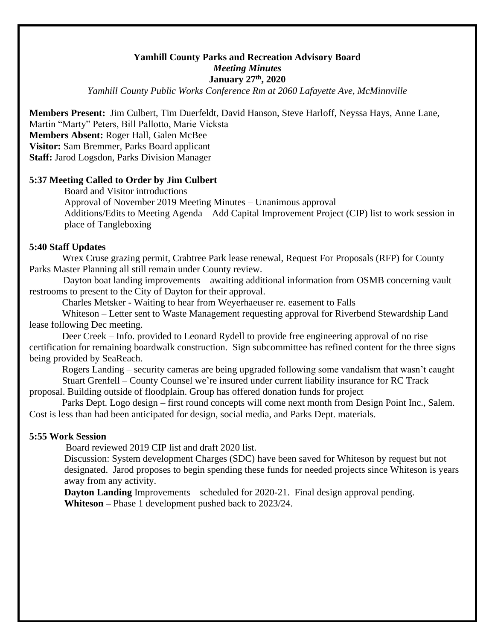## **Yamhill County Parks and Recreation Advisory Board** *Meeting Minutes* **January 27th, 2020**

*Yamhill County Public Works Conference Rm at 2060 Lafayette Ave, McMinnville*

**Members Present:** Jim Culbert, Tim Duerfeldt, David Hanson, Steve Harloff, Neyssa Hays, Anne Lane, Martin "Marty" Peters, Bill Pallotto, Marie Vicksta **Members Absent:** Roger Hall, Galen McBee **Visitor:** Sam Bremmer, Parks Board applicant **Staff:** Jarod Logsdon, Parks Division Manager

## **5:37 Meeting Called to Order by Jim Culbert**

Board and Visitor introductions Approval of November 2019 Meeting Minutes – Unanimous approval Additions/Edits to Meeting Agenda – Add Capital Improvement Project (CIP) list to work session in place of Tangleboxing

## **5:40 Staff Updates**

Wrex Cruse grazing permit, Crabtree Park lease renewal, Request For Proposals (RFP) for County Parks Master Planning all still remain under County review.

 Dayton boat landing improvements – awaiting additional information from OSMB concerning vault restrooms to present to the City of Dayton for their approval.

Charles Metsker - Waiting to hear from Weyerhaeuser re. easement to Falls

Whiteson – Letter sent to Waste Management requesting approval for Riverbend Stewardship Land lease following Dec meeting.

Deer Creek – Info. provided to Leonard Rydell to provide free engineering approval of no rise certification for remaining boardwalk construction. Sign subcommittee has refined content for the three signs being provided by SeaReach.

Rogers Landing – security cameras are being upgraded following some vandalism that wasn't caught Stuart Grenfell – County Counsel we're insured under current liability insurance for RC Track

proposal. Building outside of floodplain. Group has offered donation funds for project

Parks Dept. Logo design – first round concepts will come next month from Design Point Inc., Salem. Cost is less than had been anticipated for design, social media, and Parks Dept. materials.

## **5:55 Work Session**

Board reviewed 2019 CIP list and draft 2020 list.

Discussion: System development Charges (SDC) have been saved for Whiteson by request but not designated. Jarod proposes to begin spending these funds for needed projects since Whiteson is years away from any activity.

**Dayton Landing** Improvements – scheduled for 2020-21. Final design approval pending. **Whiteson –** Phase 1 development pushed back to 2023/24.